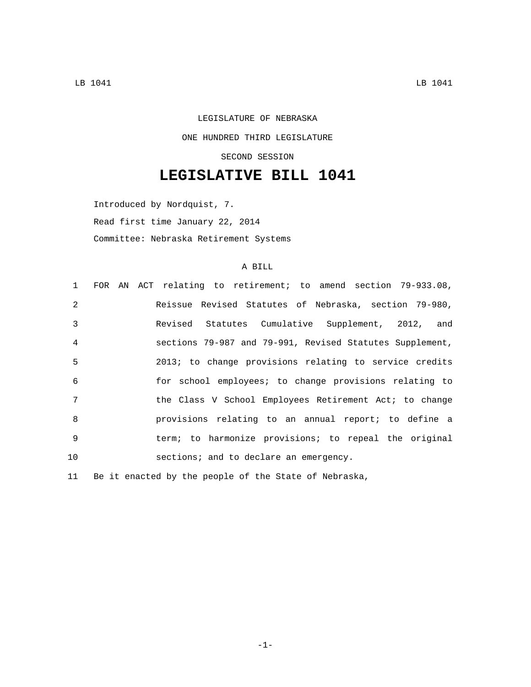## LEGISLATURE OF NEBRASKA ONE HUNDRED THIRD LEGISLATURE SECOND SESSION

## **LEGISLATIVE BILL 1041**

Introduced by Nordquist, 7. Read first time January 22, 2014 Committee: Nebraska Retirement Systems

## A BILL

|                | 1 FOR AN ACT relating to retirement; to amend section 79-933.08, |
|----------------|------------------------------------------------------------------|
| $\mathfrak{D}$ | Reissue Revised Statutes of Nebraska, section 79-980,            |
| $\mathcal{E}$  | Revised Statutes Cumulative Supplement, 2012, and                |
| $\overline{4}$ | sections 79-987 and 79-991, Revised Statutes Supplement,         |
| 5              | 2013; to change provisions relating to service credits           |
| 6              | for school employees; to change provisions relating to           |
| 7              | the Class V School Employees Retirement Act; to change           |
| $\mathsf{R}$   | provisions relating to an annual report; to define a             |
| 9              | term; to harmonize provisions; to repeal the original            |
| 10             | sections; and to declare an emergency.                           |

11 Be it enacted by the people of the State of Nebraska,

-1-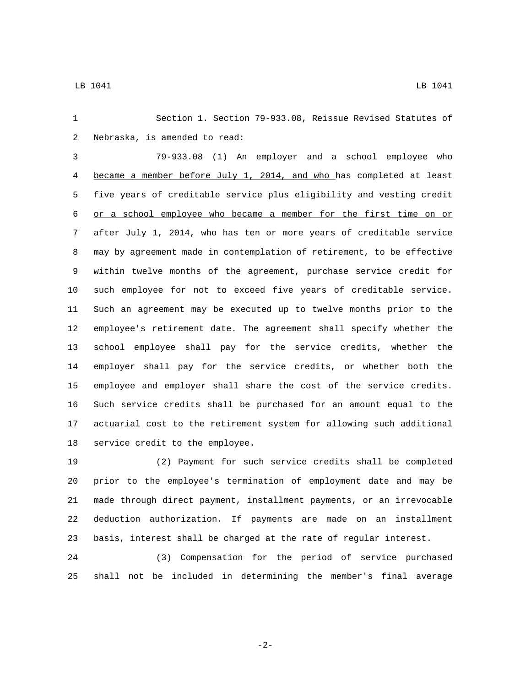Section 1. Section 79-933.08, Reissue Revised Statutes of 2 Nebraska, is amended to read: 79-933.08 (1) An employer and a school employee who became a member before July 1, 2014, and who has completed at least five years of creditable service plus eligibility and vesting credit or a school employee who became a member for the first time on or after July 1, 2014, who has ten or more years of creditable service may by agreement made in contemplation of retirement, to be effective within twelve months of the agreement, purchase service credit for such employee for not to exceed five years of creditable service. Such an agreement may be executed up to twelve months prior to the employee's retirement date. The agreement shall specify whether the school employee shall pay for the service credits, whether the employer shall pay for the service credits, or whether both the employee and employer shall share the cost of the service credits. Such service credits shall be purchased for an amount equal to the actuarial cost to the retirement system for allowing such additional 18 service credit to the employee.

 (2) Payment for such service credits shall be completed prior to the employee's termination of employment date and may be made through direct payment, installment payments, or an irrevocable deduction authorization. If payments are made on an installment basis, interest shall be charged at the rate of regular interest.

 (3) Compensation for the period of service purchased shall not be included in determining the member's final average

-2-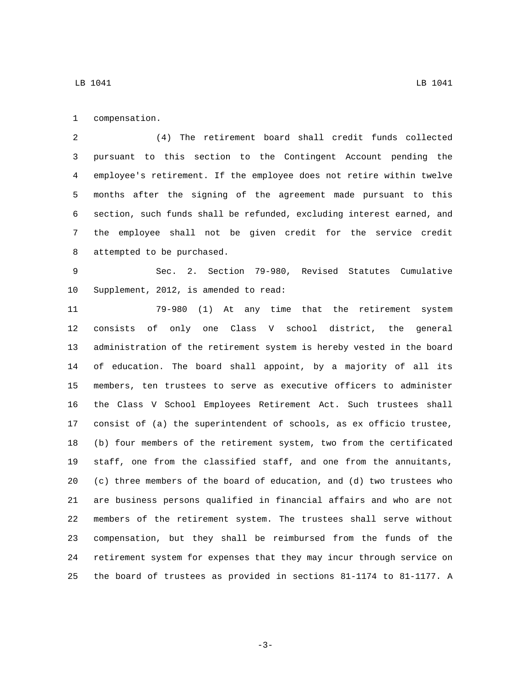1 compensation.

 (4) The retirement board shall credit funds collected pursuant to this section to the Contingent Account pending the employee's retirement. If the employee does not retire within twelve months after the signing of the agreement made pursuant to this section, such funds shall be refunded, excluding interest earned, and the employee shall not be given credit for the service credit 8 attempted to be purchased.

 Sec. 2. Section 79-980, Revised Statutes Cumulative 10 Supplement, 2012, is amended to read:

 79-980 (1) At any time that the retirement system consists of only one Class V school district, the general administration of the retirement system is hereby vested in the board of education. The board shall appoint, by a majority of all its members, ten trustees to serve as executive officers to administer the Class V School Employees Retirement Act. Such trustees shall consist of (a) the superintendent of schools, as ex officio trustee, (b) four members of the retirement system, two from the certificated staff, one from the classified staff, and one from the annuitants, (c) three members of the board of education, and (d) two trustees who are business persons qualified in financial affairs and who are not members of the retirement system. The trustees shall serve without compensation, but they shall be reimbursed from the funds of the retirement system for expenses that they may incur through service on the board of trustees as provided in sections 81-1174 to 81-1177. A

-3-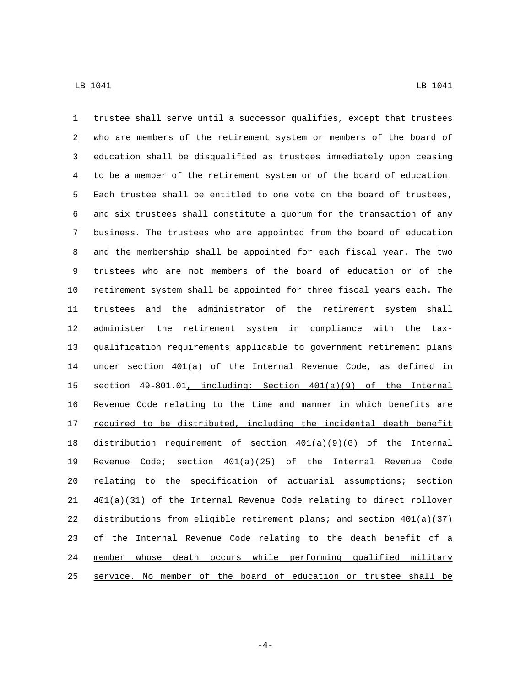trustee shall serve until a successor qualifies, except that trustees who are members of the retirement system or members of the board of education shall be disqualified as trustees immediately upon ceasing to be a member of the retirement system or of the board of education. Each trustee shall be entitled to one vote on the board of trustees, and six trustees shall constitute a quorum for the transaction of any business. The trustees who are appointed from the board of education and the membership shall be appointed for each fiscal year. The two trustees who are not members of the board of education or of the retirement system shall be appointed for three fiscal years each. The trustees and the administrator of the retirement system shall administer the retirement system in compliance with the tax- qualification requirements applicable to government retirement plans under section 401(a) of the Internal Revenue Code, as defined in section 49-801.01, including: Section 401(a)(9) of the Internal Revenue Code relating to the time and manner in which benefits are 17 required to be distributed, including the incidental death benefit distribution requirement of section 401(a)(9)(G) of the Internal Revenue Code; section 401(a)(25) of the Internal Revenue Code relating to the specification of actuarial assumptions; section 401(a)(31) of the Internal Revenue Code relating to direct rollover distributions from eligible retirement plans; and section 401(a)(37) of the Internal Revenue Code relating to the death benefit of a member whose death occurs while performing qualified military service. No member of the board of education or trustee shall be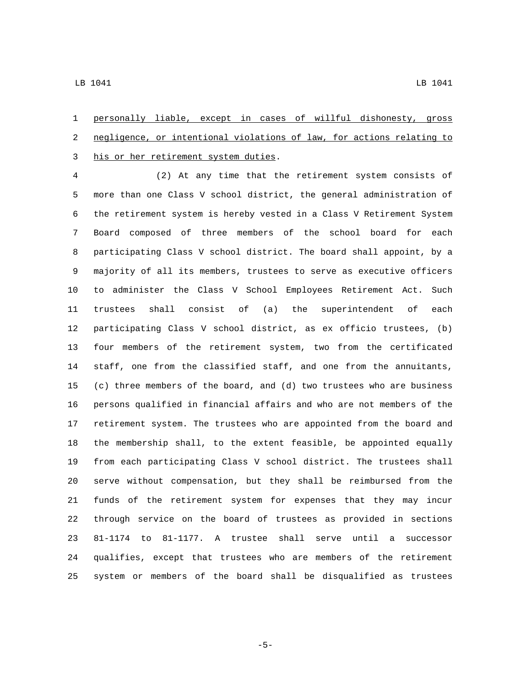personally liable, except in cases of willful dishonesty, gross negligence, or intentional violations of law, for actions relating to 3 his or her retirement system duties.

 (2) At any time that the retirement system consists of more than one Class V school district, the general administration of the retirement system is hereby vested in a Class V Retirement System Board composed of three members of the school board for each participating Class V school district. The board shall appoint, by a majority of all its members, trustees to serve as executive officers to administer the Class V School Employees Retirement Act. Such trustees shall consist of (a) the superintendent of each participating Class V school district, as ex officio trustees, (b) four members of the retirement system, two from the certificated staff, one from the classified staff, and one from the annuitants, (c) three members of the board, and (d) two trustees who are business persons qualified in financial affairs and who are not members of the retirement system. The trustees who are appointed from the board and the membership shall, to the extent feasible, be appointed equally from each participating Class V school district. The trustees shall serve without compensation, but they shall be reimbursed from the funds of the retirement system for expenses that they may incur through service on the board of trustees as provided in sections 81-1174 to 81-1177. A trustee shall serve until a successor qualifies, except that trustees who are members of the retirement system or members of the board shall be disqualified as trustees

-5-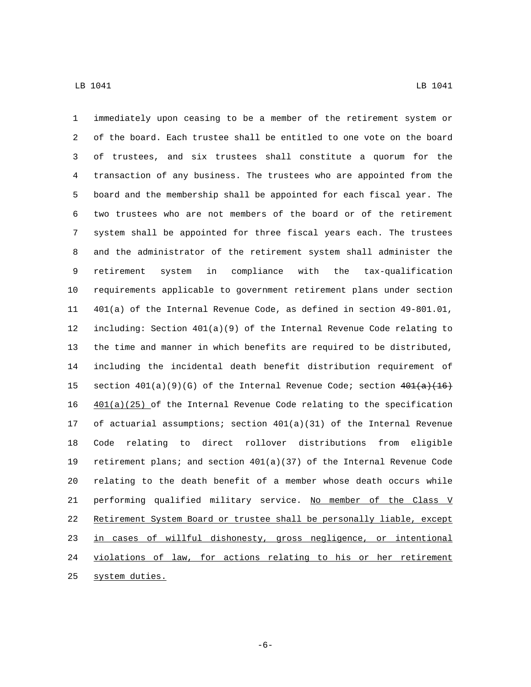immediately upon ceasing to be a member of the retirement system or of the board. Each trustee shall be entitled to one vote on the board of trustees, and six trustees shall constitute a quorum for the transaction of any business. The trustees who are appointed from the board and the membership shall be appointed for each fiscal year. The two trustees who are not members of the board or of the retirement system shall be appointed for three fiscal years each. The trustees and the administrator of the retirement system shall administer the retirement system in compliance with the tax-qualification requirements applicable to government retirement plans under section 401(a) of the Internal Revenue Code, as defined in section 49-801.01, including: Section 401(a)(9) of the Internal Revenue Code relating to the time and manner in which benefits are required to be distributed, including the incidental death benefit distribution requirement of 15 section  $401(a)(9)(G)$  of the Internal Revenue Code; section  $401(a)(16)$  $401(a)(25)$  of the Internal Revenue Code relating to the specification of actuarial assumptions; section 401(a)(31) of the Internal Revenue Code relating to direct rollover distributions from eligible retirement plans; and section 401(a)(37) of the Internal Revenue Code relating to the death benefit of a member whose death occurs while 21 performing qualified military service. No member of the Class V Retirement System Board or trustee shall be personally liable, except in cases of willful dishonesty, gross negligence, or intentional violations of law, for actions relating to his or her retirement 25 system duties.

-6-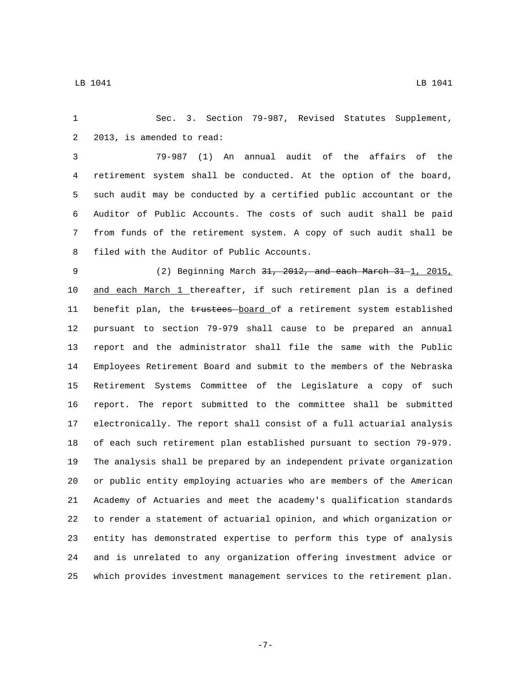Sec. 3. Section 79-987, Revised Statutes Supplement, 2 2013, is amended to read:

 79-987 (1) An annual audit of the affairs of the retirement system shall be conducted. At the option of the board, such audit may be conducted by a certified public accountant or the Auditor of Public Accounts. The costs of such audit shall be paid from funds of the retirement system. A copy of such audit shall be 8 filed with the Auditor of Public Accounts.

9 (2) Beginning March 31, 2012, and each March 31 1, 2015, and each March 1 thereafter, if such retirement plan is a defined 11 benefit plan, the trustees board of a retirement system established pursuant to section 79-979 shall cause to be prepared an annual report and the administrator shall file the same with the Public Employees Retirement Board and submit to the members of the Nebraska Retirement Systems Committee of the Legislature a copy of such report. The report submitted to the committee shall be submitted electronically. The report shall consist of a full actuarial analysis of each such retirement plan established pursuant to section 79-979. The analysis shall be prepared by an independent private organization or public entity employing actuaries who are members of the American Academy of Actuaries and meet the academy's qualification standards to render a statement of actuarial opinion, and which organization or entity has demonstrated expertise to perform this type of analysis and is unrelated to any organization offering investment advice or which provides investment management services to the retirement plan.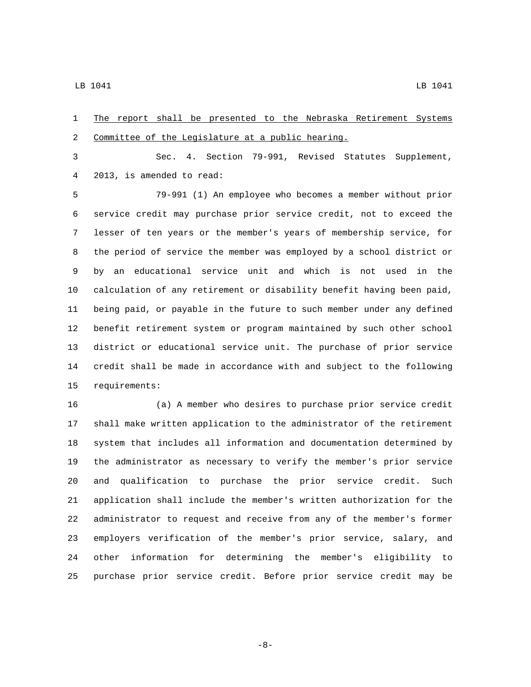The report shall be presented to the Nebraska Retirement Systems 2 Committee of the Legislature at a public hearing.

 Sec. 4. Section 79-991, Revised Statutes Supplement, 2013, is amended to read:4

 79-991 (1) An employee who becomes a member without prior service credit may purchase prior service credit, not to exceed the lesser of ten years or the member's years of membership service, for the period of service the member was employed by a school district or by an educational service unit and which is not used in the calculation of any retirement or disability benefit having been paid, being paid, or payable in the future to such member under any defined benefit retirement system or program maintained by such other school district or educational service unit. The purchase of prior service credit shall be made in accordance with and subject to the following 15 requirements:

 (a) A member who desires to purchase prior service credit shall make written application to the administrator of the retirement system that includes all information and documentation determined by the administrator as necessary to verify the member's prior service and qualification to purchase the prior service credit. Such application shall include the member's written authorization for the administrator to request and receive from any of the member's former employers verification of the member's prior service, salary, and other information for determining the member's eligibility to purchase prior service credit. Before prior service credit may be

-8-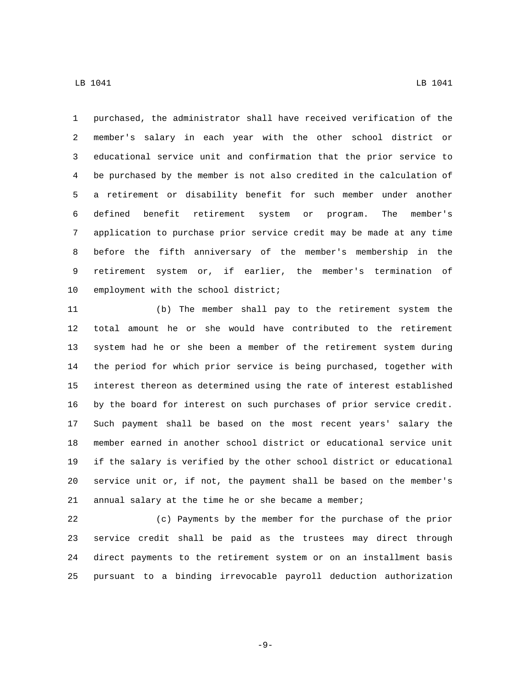LB 1041 LB 1041

 member's salary in each year with the other school district or educational service unit and confirmation that the prior service to be purchased by the member is not also credited in the calculation of a retirement or disability benefit for such member under another defined benefit retirement system or program. The member's application to purchase prior service credit may be made at any time before the fifth anniversary of the member's membership in the retirement system or, if earlier, the member's termination of 10 employment with the school district;

 (b) The member shall pay to the retirement system the total amount he or she would have contributed to the retirement system had he or she been a member of the retirement system during the period for which prior service is being purchased, together with interest thereon as determined using the rate of interest established by the board for interest on such purchases of prior service credit. Such payment shall be based on the most recent years' salary the member earned in another school district or educational service unit if the salary is verified by the other school district or educational service unit or, if not, the payment shall be based on the member's 21 annual salary at the time he or she became a member;

 (c) Payments by the member for the purchase of the prior service credit shall be paid as the trustees may direct through direct payments to the retirement system or on an installment basis pursuant to a binding irrevocable payroll deduction authorization

-9-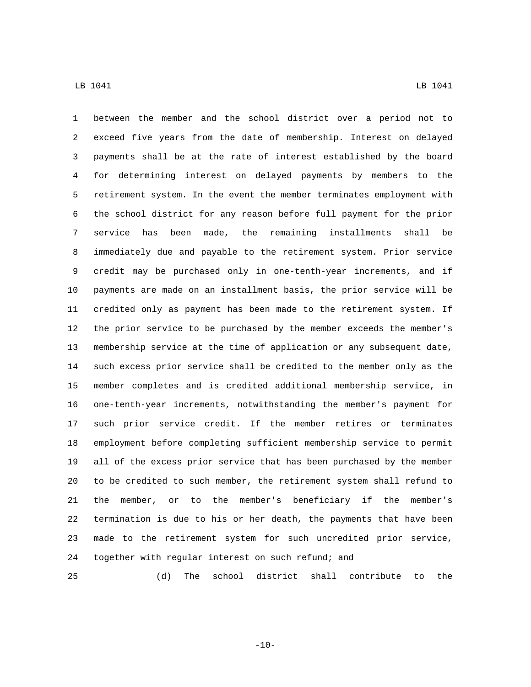between the member and the school district over a period not to exceed five years from the date of membership. Interest on delayed payments shall be at the rate of interest established by the board for determining interest on delayed payments by members to the retirement system. In the event the member terminates employment with the school district for any reason before full payment for the prior service has been made, the remaining installments shall be immediately due and payable to the retirement system. Prior service credit may be purchased only in one-tenth-year increments, and if payments are made on an installment basis, the prior service will be credited only as payment has been made to the retirement system. If the prior service to be purchased by the member exceeds the member's membership service at the time of application or any subsequent date, such excess prior service shall be credited to the member only as the member completes and is credited additional membership service, in one-tenth-year increments, notwithstanding the member's payment for such prior service credit. If the member retires or terminates employment before completing sufficient membership service to permit all of the excess prior service that has been purchased by the member to be credited to such member, the retirement system shall refund to the member, or to the member's beneficiary if the member's termination is due to his or her death, the payments that have been made to the retirement system for such uncredited prior service, together with regular interest on such refund; and

(d) The school district shall contribute to the

 $-10-$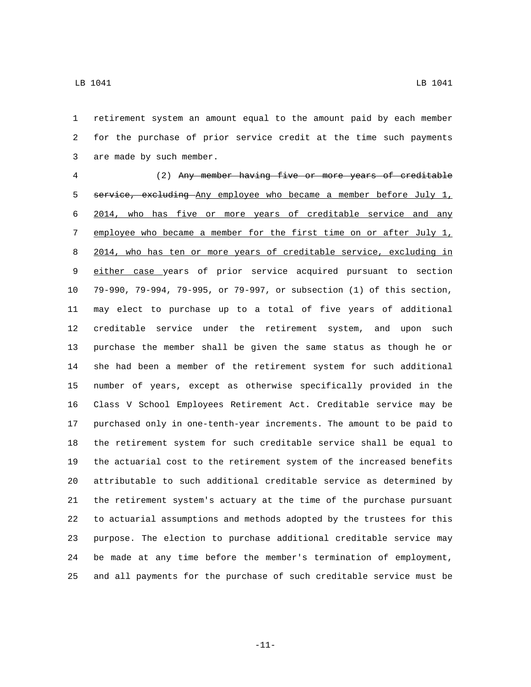retirement system an amount equal to the amount paid by each member for the purchase of prior service credit at the time such payments 3 are made by such member.

 (2) Any member having five or more years of creditable 5 service, excluding Any employee who became a member before July 1, 2014, who has five or more years of creditable service and any 7 employee who became a member for the first time on or after July 1, 2014, who has ten or more years of creditable service, excluding in either case years of prior service acquired pursuant to section 79-990, 79-994, 79-995, or 79-997, or subsection (1) of this section, may elect to purchase up to a total of five years of additional creditable service under the retirement system, and upon such purchase the member shall be given the same status as though he or she had been a member of the retirement system for such additional number of years, except as otherwise specifically provided in the Class V School Employees Retirement Act. Creditable service may be purchased only in one-tenth-year increments. The amount to be paid to the retirement system for such creditable service shall be equal to the actuarial cost to the retirement system of the increased benefits attributable to such additional creditable service as determined by the retirement system's actuary at the time of the purchase pursuant to actuarial assumptions and methods adopted by the trustees for this purpose. The election to purchase additional creditable service may be made at any time before the member's termination of employment, and all payments for the purchase of such creditable service must be

-11-